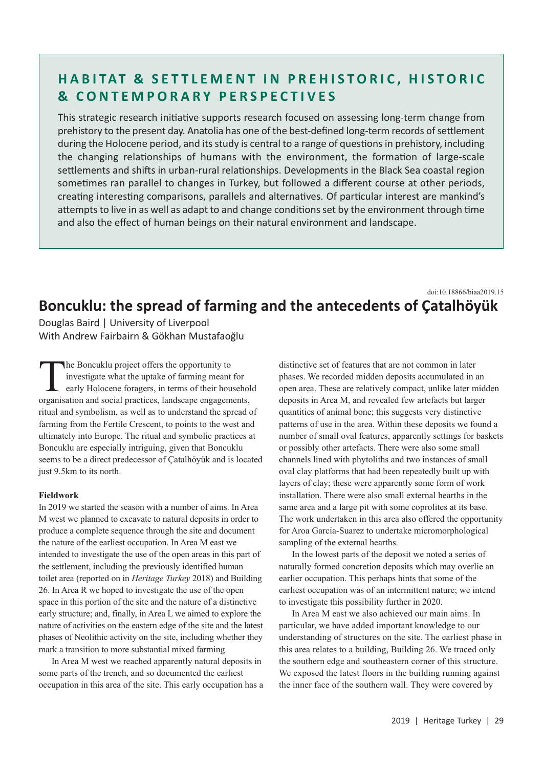# **HABITAT & SETTLEMENT IN PREHISTORIC, HISTORIC & CONTEMPORARY PERSPECTIVES**

This strategic research initiative supports research focused on assessing long-term change from prehistory to the present day. Anatolia has one of the best-defined long-term records of settlement during the Holocene period, and its study is central to a range of questions in prehistory, including the changing relationships of humans with the environment, the formation of large-scale settlements and shifts in urban-rural relationships. Developments in the Black Sea coastal region sometimes ran parallel to changes in Turkey, but followed a different course at other periods, creating interesting comparisons, parallels and alternatives. Of particular interest are mankind's attempts to live in as well as adapt to and change conditions set by the environment through time and also the effect of human beings on their natural environment and landscape.

## **Boncuklu: the spread of farming and the antecedents of Çatalhöyük** doi:10.18866/biaa2019.15

Douglas Baird | University of Liverpool With Andrew Fairbairn & Gökhan Mustafaoğlu

The Boncuklu project offers the opportunity to investigate what the uptake of farming meant for early Holocene foragers, in terms of their household organisation and social practices, landscape engagements, ritual and symbolism, as well as to understand the spread of farming from the Fertile Crescent, to points to the west and ultimately into Europe. The ritual and symbolic practices at Boncuklu are especially intriguing, given that Boncuklu seems to be a direct predecessor of Çatalhöyük and is located just 9.5km to its north.

### **Fieldwork**

In 2019 we started the season with a number of aims. In Area M west we planned to excavate to natural deposits in order to produce a complete sequence through the site and document the nature of the earliest occupation. In Area M east we intended to investigate the use of the open areas in this part of the settlement, including the previously identified human toilet area (reported on in *Heritage Turkey* 2018) and Building 26. In Area R we hoped to investigate the use of the open space in this portion of the site and the nature of a distinctive early structure; and, finally, in Area L we aimed to explore the nature of activities on the eastern edge of the site and the latest phases of Neolithic activity on the site, including whether they mark a transition to more substantial mixed farming.

In Area M west we reached apparently natural deposits in some parts of the trench, and so documented the earliest occupation in this area of the site. This early occupation has a distinctive set of features that are not common in later phases. We recorded midden deposits accumulated in an open area. These are relatively compact, unlike later midden deposits in Area M, and revealed few artefacts but larger quantities of animal bone; this suggests very distinctive patterns of use in the area. Within these deposits we found a number of small oval features, apparently settings for baskets or possibly other artefacts. There were also some small channels lined with phytoliths and two instances of small oval clay platforms that had been repeatedly built up with layers of clay; these were apparently some form of work installation. There were also small external hearths in the same area and a large pit with some coprolites at its base. The work undertaken in this area also offered the opportunity for Aroa Garcia-Suarez to undertake micromorphological sampling of the external hearths.

In the lowest parts of the deposit we noted a series of naturally formed concretion deposits which may overlie an earlier occupation. This perhaps hints that some of the earliest occupation was of an intermittent nature; we intend to investigate this possibility further in 2020.

In Area M east we also achieved our main aims. In particular, we have added important knowledge to our understanding of structures on the site. The earliest phase in this area relates to a building, Building 26. We traced only the southern edge and southeastern corner of this structure. We exposed the latest floors in the building running against the inner face of the southern wall. They were covered by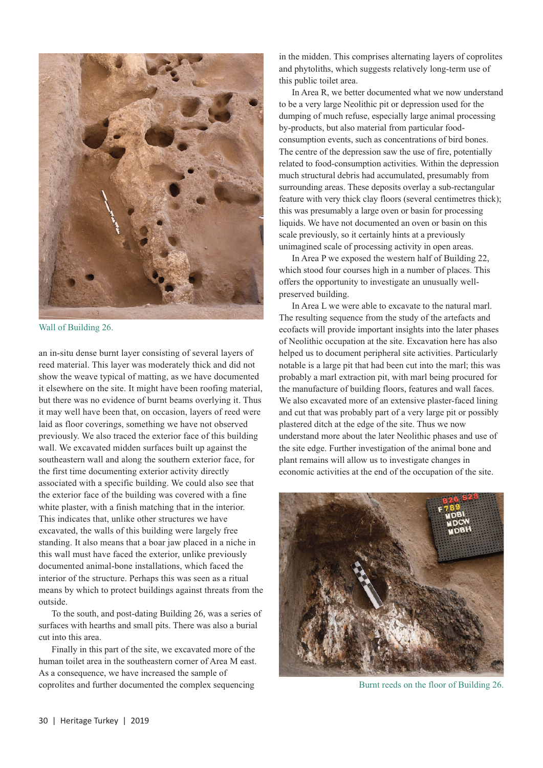

Wall of Building 26.

an in-situ dense burnt layer consisting of several layers of reed material. This layer was moderately thick and did not show the weave typical of matting, as we have documented it elsewhere on the site. It might have been roofing material, but there was no evidence of burnt beams overlying it. Thus it may well have been that, on occasion, layers of reed were laid as floor coverings, something we have not observed previously. We also traced the exterior face of this building wall. We excavated midden surfaces built up against the southeastern wall and along the southern exterior face, for the first time documenting exterior activity directly associated with a specific building. We could also see that the exterior face of the building was covered with a fine white plaster, with a finish matching that in the interior. This indicates that, unlike other structures we have excavated, the walls of this building were largely free standing. It also means that a boar jaw placed in a niche in this wall must have faced the exterior, unlike previously documented animal-bone installations, which faced the interior of the structure. Perhaps this was seen as a ritual means by which to protect buildings against threats from the outside.

To the south, and post-dating Building 26, was a series of surfaces with hearths and small pits. There was also a burial cut into this area.

Finally in this part of the site, we excavated more of the human toilet area in the southeastern corner of Area M east. As a consequence, we have increased the sample of coprolites and further documented the complex sequencing

in the midden. This comprises alternating layers of coprolites and phytoliths, which suggests relatively long-term use of this public toilet area.

In Area R, we better documented what we now understand to be a very large Neolithic pit or depression used for the dumping of much refuse, especially large animal processing by-products, but also material from particular foodconsumption events, such as concentrations of bird bones. The centre of the depression saw the use of fire, potentially related to food-consumption activities. Within the depression much structural debris had accumulated, presumably from surrounding areas. These deposits overlay a sub-rectangular feature with very thick clay floors (several centimetres thick); this was presumably a large oven or basin for processing liquids. We have not documented an oven or basin on this scale previously, so it certainly hints at a previously unimagined scale of processing activity in open areas.

In Area P we exposed the western half of Building 22, which stood four courses high in a number of places. This offers the opportunity to investigate an unusually wellpreserved building.

In Area L we were able to excavate to the natural marl. The resulting sequence from the study of the artefacts and ecofacts will provide important insights into the later phases of Neolithic occupation at the site. Excavation here has also helped us to document peripheral site activities. Particularly notable is a large pit that had been cut into the marl; this was probably a marl extraction pit, with marl being procured for the manufacture of building floors, features and wall faces. We also excavated more of an extensive plaster-faced lining and cut that was probably part of a very large pit or possibly plastered ditch at the edge of the site. Thus we now understand more about the later Neolithic phases and use of the site edge. Further investigation of the animal bone and plant remains will allow us to investigate changes in economic activities at the end of the occupation of the site.



Burnt reeds on the floor of Building 26.